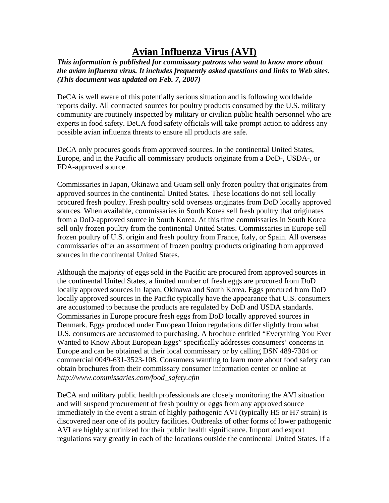# **Avian Influenza Virus (AVI)**

*This information is published for commissary patrons who want to know more about the avian influenza virus. It includes frequently asked questions and links to Web sites. (This document was updated on Feb. 7, 2007)* 

DeCA is well aware of this potentially serious situation and is following worldwide reports daily. All contracted sources for poultry products consumed by the U.S. military community are routinely inspected by military or civilian public health personnel who are experts in food safety. DeCA food safety officials will take prompt action to address any possible avian influenza threats to ensure all products are safe.

DeCA only procures goods from approved sources. In the continental United States, Europe, and in the Pacific all commissary products originate from a DoD-, USDA-, or FDA-approved source.

Commissaries in Japan, Okinawa and Guam sell only frozen poultry that originates from approved sources in the continental United States. These locations do not sell locally procured fresh poultry. Fresh poultry sold overseas originates from DoD locally approved sources. When available, commissaries in South Korea sell fresh poultry that originates from a DoD-approved source in South Korea. At this time commissaries in South Korea sell only frozen poultry from the continental United States. Commissaries in Europe sell frozen poultry of U.S. origin and fresh poultry from France, Italy, or Spain. All overseas commissaries offer an assortment of frozen poultry products originating from approved sources in the continental United States.

Although the majority of eggs sold in the Pacific are procured from approved sources in the continental United States, a limited number of fresh eggs are procured from DoD locally approved sources in Japan, Okinawa and South Korea. Eggs procured from DoD locally approved sources in the Pacific typically have the appearance that U.S. consumers are accustomed to because the products are regulated by DoD and USDA standards. Commissaries in Europe procure fresh eggs from DoD locally approved sources in Denmark. Eggs produced under European Union regulations differ slightly from what U.S. consumers are accustomed to purchasing. A brochure entitled "Everything You Ever Wanted to Know About European Eggs" specifically addresses consumers' concerns in Europe and can be obtained at their local commissary or by calling DSN 489-7304 or commercial 0049-631-3523-108. Consumers wanting to learn more about food safety can obtain brochures from their commissary consumer information center or online at *http://www.commissaries.com/food\_safety.cfm* 

DeCA and military public health professionals are closely monitoring the AVI situation and will suspend procurement of fresh poultry or eggs from any approved source immediately in the event a strain of highly pathogenic AVI (typically H5 or H7 strain) is discovered near one of its poultry facilities. Outbreaks of other forms of lower pathogenic AVI are highly scrutinized for their public health significance. Import and export regulations vary greatly in each of the locations outside the continental United States. If a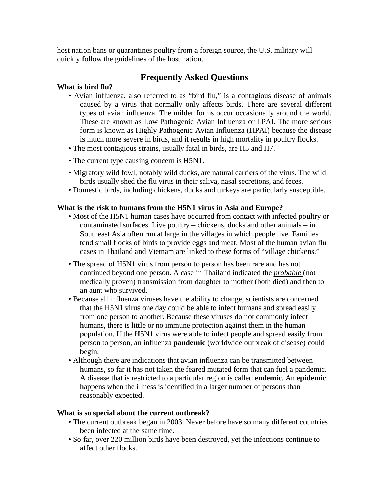host nation bans or quarantines poultry from a foreign source, the U.S. military will quickly follow the guidelines of the host nation.

# **Frequently Asked Questions**

# **What is bird flu?**

- Avian influenza, also referred to as "bird flu," is a contagious disease of animals caused by a virus that normally only affects birds. There are several different types of avian influenza. The milder forms occur occasionally around the world. These are known as Low Pathogenic Avian Influenza or LPAI. The more serious form is known as Highly Pathogenic Avian Influenza (HPAI) because the disease is much more severe in birds, and it results in high mortality in poultry flocks.
- The most contagious strains, usually fatal in birds, are H5 and H7.
- The current type causing concern is H5N1.
- Migratory wild fowl, notably wild ducks, are natural carriers of the virus. The wild birds usually shed the flu virus in their saliva, nasal secretions, and feces.
- Domestic birds, including chickens, ducks and turkeys are particularly susceptible.

## **What is the risk to humans from the H5N1 virus in Asia and Europe?**

- Most of the H5N1 human cases have occurred from contact with infected poultry or contaminated surfaces. Live poultry – chickens, ducks and other animals – in Southeast Asia often run at large in the villages in which people live. Families tend small flocks of birds to provide eggs and meat. Most of the human avian flu cases in Thailand and Vietnam are linked to these forms of "village chickens."
- The spread of H5N1 virus from person to person has been rare and has not continued beyond one person. A case in Thailand indicated the *probable* (not medically proven) transmission from daughter to mother (both died) and then to an aunt who survived.
- Because all influenza viruses have the ability to change, scientists are concerned that the H5N1 virus one day could be able to infect humans and spread easily from one person to another. Because these viruses do not commonly infect humans, there is little or no immune protection against them in the human population. If the H5N1 virus were able to infect people and spread easily from person to person, an influenza **pandemic** (worldwide outbreak of disease) could begin.
- Although there are indications that avian influenza can be transmitted between humans, so far it has not taken the feared mutated form that can fuel a pandemic. A disease that is restricted to a particular region is called **endemic**. An **epidemic**  happens when the illness is identified in a larger number of persons than reasonably expected.

## **What is so special about the current outbreak?**

- The current outbreak began in 2003. Never before have so many different countries been infected at the same time.
- So far, over 220 million birds have been destroyed, yet the infections continue to affect other flocks.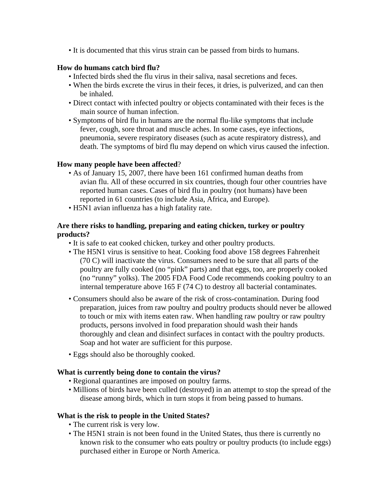• It is documented that this virus strain can be passed from birds to humans.

#### **How do humans catch bird flu?**

- Infected birds shed the flu virus in their saliva, nasal secretions and feces.
- When the birds excrete the virus in their feces, it dries, is pulverized, and can then be inhaled.
- Direct contact with infected poultry or objects contaminated with their feces is the main source of human infection.
- Symptoms of bird flu in humans are the normal flu-like symptoms that include fever, cough, sore throat and muscle aches. In some cases, eye infections, pneumonia, severe respiratory diseases (such as acute respiratory distress), and death. The symptoms of bird flu may depend on which virus caused the infection.

### **How many people have been affected**?

- As of January 15, 2007, there have been 161 confirmed human deaths from avian flu. All of these occurred in six countries, though four other countries have reported human cases. Cases of bird flu in poultry (not humans) have been reported in 61 countries (to include Asia, Africa, and Europe).
- H5N1 avian influenza has a high fatality rate.

## **Are there risks to handling, preparing and eating chicken, turkey or poultry products?**

- It is safe to eat cooked chicken, turkey and other poultry products.
- The H5N1 virus is sensitive to heat. Cooking food above 158 degrees Fahrenheit (70 C) will inactivate the virus. Consumers need to be sure that all parts of the poultry are fully cooked (no "pink" parts) and that eggs, too, are properly cooked (no "runny" yolks). The 2005 FDA Food Code recommends cooking poultry to an internal temperature above 165 F (74 C) to destroy all bacterial contaminates.
- Consumers should also be aware of the risk of cross-contamination. During food preparation, juices from raw poultry and poultry products should never be allowed to touch or mix with items eaten raw. When handling raw poultry or raw poultry products, persons involved in food preparation should wash their hands thoroughly and clean and disinfect surfaces in contact with the poultry products. Soap and hot water are sufficient for this purpose.
- Eggs should also be thoroughly cooked.

#### **What is currently being done to contain the virus?**

- Regional quarantines are imposed on poultry farms.
- Millions of birds have been culled (destroyed) in an attempt to stop the spread of the disease among birds, which in turn stops it from being passed to humans.

#### **What is the risk to people in the United States?**

- The current risk is very low.
- The H5N1 strain is not been found in the United States, thus there is currently no known risk to the consumer who eats poultry or poultry products (to include eggs) purchased either in Europe or North America.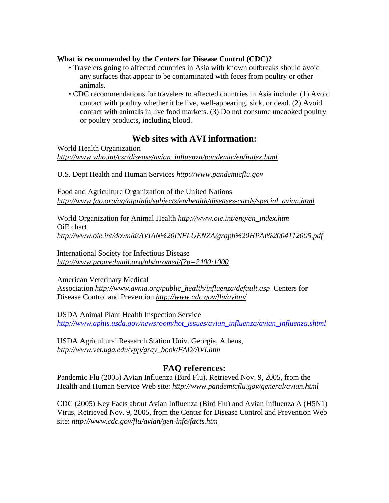#### **What is recommended by the Centers for Disease Control (CDC)?**

- Travelers going to affected countries in Asia with known outbreaks should avoid any surfaces that appear to be contaminated with feces from poultry or other animals.
- CDC recommendations for travelers to affected countries in Asia include: (1) Avoid contact with poultry whether it be live, well-appearing, sick, or dead. (2) Avoid contact with animals in live food markets. (3) Do not consume uncooked poultry or poultry products, including blood.

# **Web sites with AVI information:**

World Health Organization *http://www.who.int/csr/disease/avian\_influenza/pandemic/en/index.html*

U.S. Dept Health and Human Services *http://www.pandemicflu.gov*

Food and Agriculture Organization of the United Nations *http://www.fao.org/ag/againfo/subjects/en/health/diseases-cards/special\_avian.html*

World Organization for Animal Health *http://www.oie.int/eng/en\_index.htm* OiE chart *http://www.oie.int/downld/AVIAN%20INFLUENZA/graph%20HPAI%2004112005.pdf*

International Society for Infectious Disease *http://www.promedmail.org/pls/promed/f?p=2400:1000*

American Veterinary Medical Association *http://www.avma.org/public\_health/influenza/default.asp* Centers for Disease Control and Prevention *http://www.cdc.gov/flu/avian/*

USDA Animal Plant Health Inspection Service *http://www.aphis.usda.gov/newsroom/hot\_issues/avian\_influenza/avian\_influenza.shtml*

USDA Agricultural Research Station Univ. Georgia, Athens, *http://www.vet.uga.edu/vpp/gray\_book/FAD/AVI.htm* 

# **FAQ references:**

Pandemic Flu (2005) Avian Influenza (Bird Flu). Retrieved Nov. 9, 2005, from the Health and Human Service Web site: *http://www.pandemicflu.gov/general/avian.html*

CDC (2005) Key Facts about Avian Influenza (Bird Flu) and Avian Influenza A (H5N1) Virus. Retrieved Nov. 9, 2005, from the Center for Disease Control and Prevention Web site: *http://www.cdc.gov/flu/avian/gen-info/facts.htm*